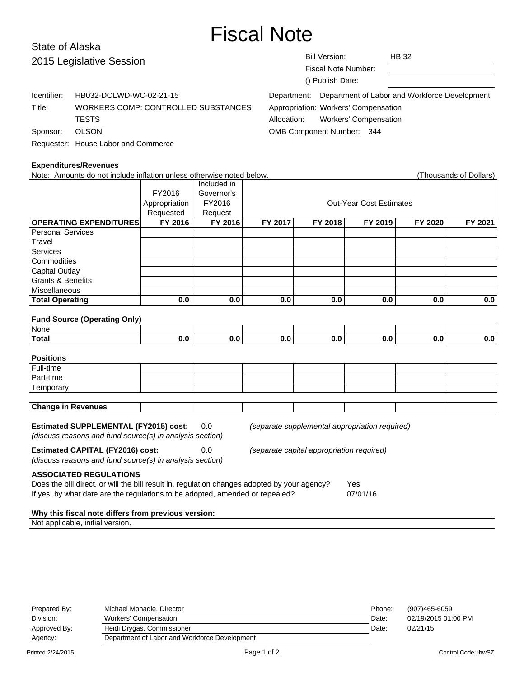# Fiscal Note

# State of Alaska 2015 Leg

| 2015 Legislative Session |                                     | <b>Bill Version:</b><br><b>HB 32</b>                      |
|--------------------------|-------------------------------------|-----------------------------------------------------------|
|                          |                                     | Fiscal Note Number:                                       |
|                          |                                     | () Publish Date:                                          |
| Identifier:              | HB032-DOLWD-WC-02-21-15             | Department: Department of Labor and Workforce Development |
| Title:                   | WORKERS COMP: CONTROLLED SUBSTANCES | Appropriation: Workers' Compensation                      |
|                          | <b>TESTS</b>                        | <b>Workers' Compensation</b><br>Allocation:               |
| Sponsor:                 | <b>OLSON</b>                        | <b>OMB Component Number: 344</b>                          |
|                          | Requester: House Labor and Commerce |                                                           |

#### **Expenditures/Revenues**

| <b>Expenditures/Revenues</b>                                                                               |               |             |                                           |                                                |                                |         |                        |
|------------------------------------------------------------------------------------------------------------|---------------|-------------|-------------------------------------------|------------------------------------------------|--------------------------------|---------|------------------------|
| Note: Amounts do not include inflation unless otherwise noted below.                                       |               |             |                                           |                                                |                                |         | (Thousands of Dollars) |
|                                                                                                            |               | Included in |                                           |                                                |                                |         |                        |
|                                                                                                            | FY2016        | Governor's  |                                           |                                                |                                |         |                        |
|                                                                                                            | Appropriation | FY2016      |                                           |                                                | <b>Out-Year Cost Estimates</b> |         |                        |
|                                                                                                            | Requested     | Request     |                                           |                                                |                                |         |                        |
| <b>OPERATING EXPENDITURES</b>                                                                              | FY 2016       | FY 2016     | FY 2017                                   | FY 2018                                        | FY 2019                        | FY 2020 | FY 2021                |
| <b>Personal Services</b>                                                                                   |               |             |                                           |                                                |                                |         |                        |
| Travel                                                                                                     |               |             |                                           |                                                |                                |         |                        |
| Services                                                                                                   |               |             |                                           |                                                |                                |         |                        |
| Commodities                                                                                                |               |             |                                           |                                                |                                |         |                        |
| <b>Capital Outlay</b>                                                                                      |               |             |                                           |                                                |                                |         |                        |
| <b>Grants &amp; Benefits</b>                                                                               |               |             |                                           |                                                |                                |         |                        |
| Miscellaneous                                                                                              |               |             |                                           |                                                |                                |         |                        |
| <b>Total Operating</b>                                                                                     | 0.0           | 0.0         | 0.0                                       | 0.0                                            | 0.0                            | 0.0     | 0.0                    |
| <b>Fund Source (Operating Only)</b>                                                                        |               |             |                                           |                                                |                                |         |                        |
| None                                                                                                       |               |             |                                           |                                                |                                |         |                        |
| <b>Total</b>                                                                                               | 0.0           | 0.0         | 0.0                                       | 0.0                                            | 0.0                            | 0.0     | $\overline{0.0}$       |
| <b>Positions</b>                                                                                           |               |             |                                           |                                                |                                |         |                        |
| Full-time                                                                                                  |               |             |                                           |                                                |                                |         |                        |
| Part-time                                                                                                  |               |             |                                           |                                                |                                |         |                        |
| Temporary                                                                                                  |               |             |                                           |                                                |                                |         |                        |
|                                                                                                            |               |             |                                           |                                                |                                |         |                        |
| <b>Change in Revenues</b>                                                                                  |               |             |                                           |                                                |                                |         |                        |
| <b>Estimated SUPPLEMENTAL (FY2015) cost:</b><br>(discuss reasons and fund source(s) in analysis section)   |               | 0.0         |                                           | (separate supplemental appropriation required) |                                |         |                        |
| <b>Estimated CAPITAL (FY2016) cost:</b><br>0.0<br>(discuss reasons and fund source(s) in analysis section) |               |             | (separate capital appropriation required) |                                                |                                |         |                        |

# **ASSOCIATED REGULATIONS**

| Does the bill direct, or will the bill result in, regulation changes adopted by your agency? | Yes      |
|----------------------------------------------------------------------------------------------|----------|
| If yes, by what date are the regulations to be adopted, amended or repealed?                 | 07/01/16 |

# **Why this fiscal note differs from previous version:**

Not applicable, initial version.

| Prepared By: | Michael Monagle, Director                     | Phone: | (907)465-6059       |
|--------------|-----------------------------------------------|--------|---------------------|
| Division:    | Workers' Compensation                         | Date:  | 02/19/2015 01:00 PM |
| Approved By: | Heidi Drygas, Commissioner                    | Date:  | 02/21/15            |
| Agency:      | Department of Labor and Workforce Development |        |                     |